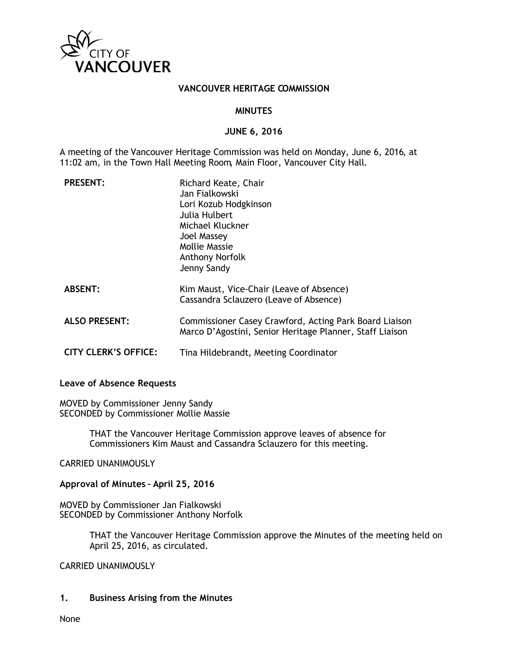

### **VANCOUVER HERITAGE COMMISSION**

#### **MINUTES**

#### **JUNE 6, 2016**

A meeting of the Vancouver Heritage Commission was held on Monday, June 6, 2016, at 11:02 am, in the Town Hall Meeting Room, Main Floor, Vancouver City Hall.

| <b>PRESENT:</b>             | Richard Keate, Chair<br>Jan Fialkowski<br>Lori Kozub Hodgkinson<br>Julia Hulbert<br>Michael Kluckner<br><b>Joel Massey</b><br>Mollie Massie<br>Anthony Norfolk<br>Jenny Sandy |
|-----------------------------|-------------------------------------------------------------------------------------------------------------------------------------------------------------------------------|
| <b>ABSENT:</b>              | Kim Maust, Vice-Chair (Leave of Absence)<br>Cassandra Sclauzero (Leave of Absence)                                                                                            |
| <b>ALSO PRESENT:</b>        | Commissioner Casey Crawford, Acting Park Board Liaison<br>Marco D'Agostini, Senior Heritage Planner, Staff Liaison                                                            |
| <b>CITY CLERK'S OFFICE:</b> | Tina Hildebrandt, Meeting Coordinator                                                                                                                                         |

### **Leave of Absence Requests**

MOVED by Commissioner Jenny Sandy SECONDED by Commissioner Mollie Massie

> THAT the Vancouver Heritage Commission approve leaves of absence for Commissioners Kim Maust and Cassandra Sclauzero for this meeting.

CARRIED UNANIMOUSLY

**Approval of Minutes – April 25, 2016**

MOVED by Commissioner Jan Fialkowski SECONDED by Commissioner Anthony Norfolk

> THAT the Vancouver Heritage Commission approve the Minutes of the meeting held on April 25, 2016, as circulated.

CARRIED UNANIMOUSLY

#### **1. Business Arising from the Minutes**

None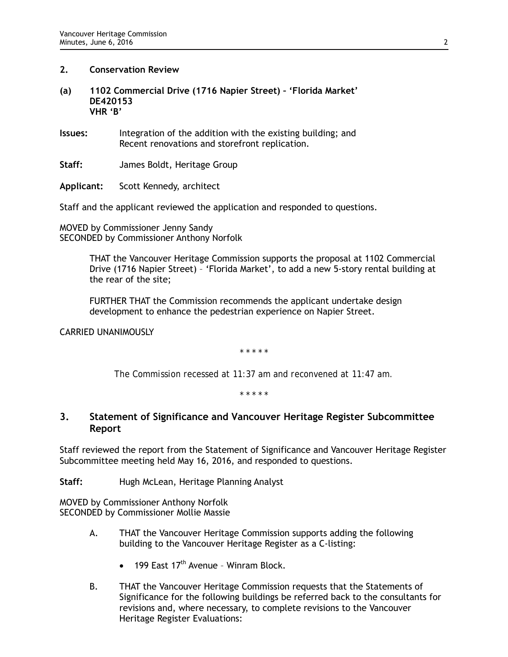### **2. Conservation Review**

- **(a) 1102 Commercial Drive (1716 Napier Street) 'Florida Market' DE420153 VHR 'B'**
- **Issues:** Integration of the addition with the existing building; and Recent renovations and storefront replication.

**Staff:** James Boldt, Heritage Group

**Applicant:** Scott Kennedy, architect

Staff and the applicant reviewed the application and responded to questions.

MOVED by Commissioner Jenny Sandy SECONDED by Commissioner Anthony Norfolk

> THAT the Vancouver Heritage Commission supports the proposal at 1102 Commercial Drive (1716 Napier Street) – 'Florida Market', to add a new 5-story rental building at the rear of the site;

FURTHER THAT the Commission recommends the applicant undertake design development to enhance the pedestrian experience on Napier Street.

CARRIED UNANIMOUSLY

*\* \* \* \* \**

*The Commission recessed at 11:37 am and reconvened at 11:47 am.*

*\* \* \* \* \**

# **3. Statement of Significance and Vancouver Heritage Register Subcommittee Report**

Staff reviewed the report from the Statement of Significance and Vancouver Heritage Register Subcommittee meeting held May 16, 2016, and responded to questions.

**Staff:** Hugh McLean, Heritage Planning Analyst

MOVED by Commissioner Anthony Norfolk SECONDED by Commissioner Mollie Massie

- A. THAT the Vancouver Heritage Commission supports adding the following building to the Vancouver Heritage Register as a C-listing:
	- 199 East  $17<sup>th</sup>$  Avenue Winram Block.
- B. THAT the Vancouver Heritage Commission requests that the Statements of Significance for the following buildings be referred back to the consultants for revisions and, where necessary, to complete revisions to the Vancouver Heritage Register Evaluations: